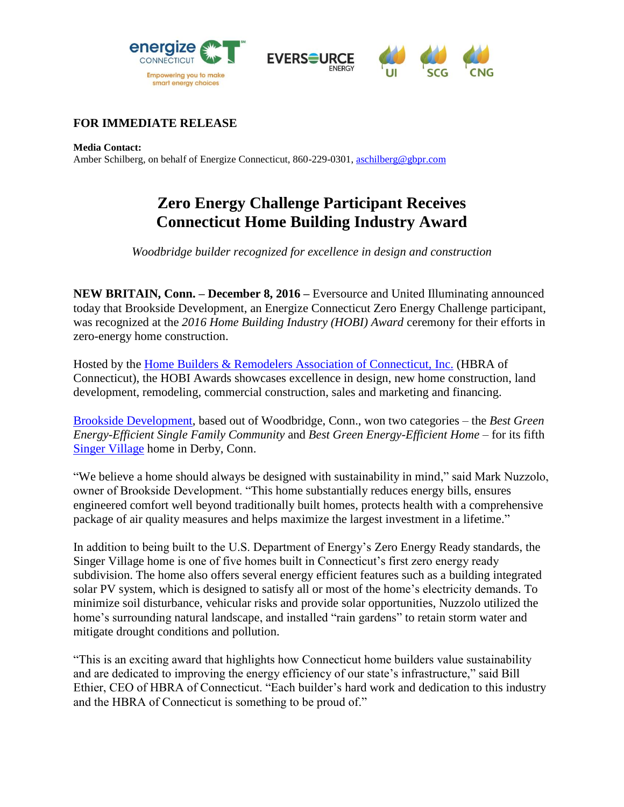





## **FOR IMMEDIATE RELEASE**

**Media Contact:**

Amber Schilberg, on behalf of Energize Connecticut, 860-229-0301[, aschilberg@gbpr.com](mailto:aschilberg@gbpr.com)

## **Zero Energy Challenge Participant Receives Connecticut Home Building Industry Award**

*Woodbridge builder recognized for excellence in design and construction*

**NEW BRITAIN, Conn. – December 8, 2016 –** Eversource and United Illuminating announced today that Brookside Development, an Energize Connecticut Zero Energy Challenge participant, was recognized at the *2016 Home Building Industry (HOBI) Award* ceremony for their efforts in zero-energy home construction.

Hosted by the [Home Builders & Remodelers Association of Connecticut, Inc.](http://www.hbact.org/) (HBRA of Connecticut), the HOBI Awards showcases excellence in design, new home construction, land development, remodeling, commercial construction, sales and marketing and financing.

[Brookside Development,](http://www.brooksidedevelopment.com/) based out of Woodbridge, Conn., won two categories – the *Best Green Energy-Efficient Single Family Community* and *Best Green Energy-Efficient Home* – for its fifth [Singer Village](https://www.ctzeroenergychallenge.com/participant_overview.php?ID=Nuzzolo) home in Derby, Conn.

"We believe a home should always be designed with sustainability in mind," said Mark Nuzzolo, owner of Brookside Development. "This home substantially reduces energy bills, ensures engineered comfort well beyond traditionally built homes, protects health with a comprehensive package of air quality measures and helps maximize the largest investment in a lifetime."

In addition to being built to the U.S. Department of Energy's Zero Energy Ready standards, the Singer Village home is one of five homes built in Connecticut's first zero energy ready subdivision. The home also offers several energy efficient features such as a building integrated solar PV system, which is designed to satisfy all or most of the home's electricity demands. To minimize soil disturbance, vehicular risks and provide solar opportunities, Nuzzolo utilized the home's surrounding natural landscape, and installed "rain gardens" to retain storm water and mitigate drought conditions and pollution.

"This is an exciting award that highlights how Connecticut home builders value sustainability and are dedicated to improving the energy efficiency of our state's infrastructure," said Bill Ethier, CEO of HBRA of Connecticut. "Each builder's hard work and dedication to this industry and the HBRA of Connecticut is something to be proud of."